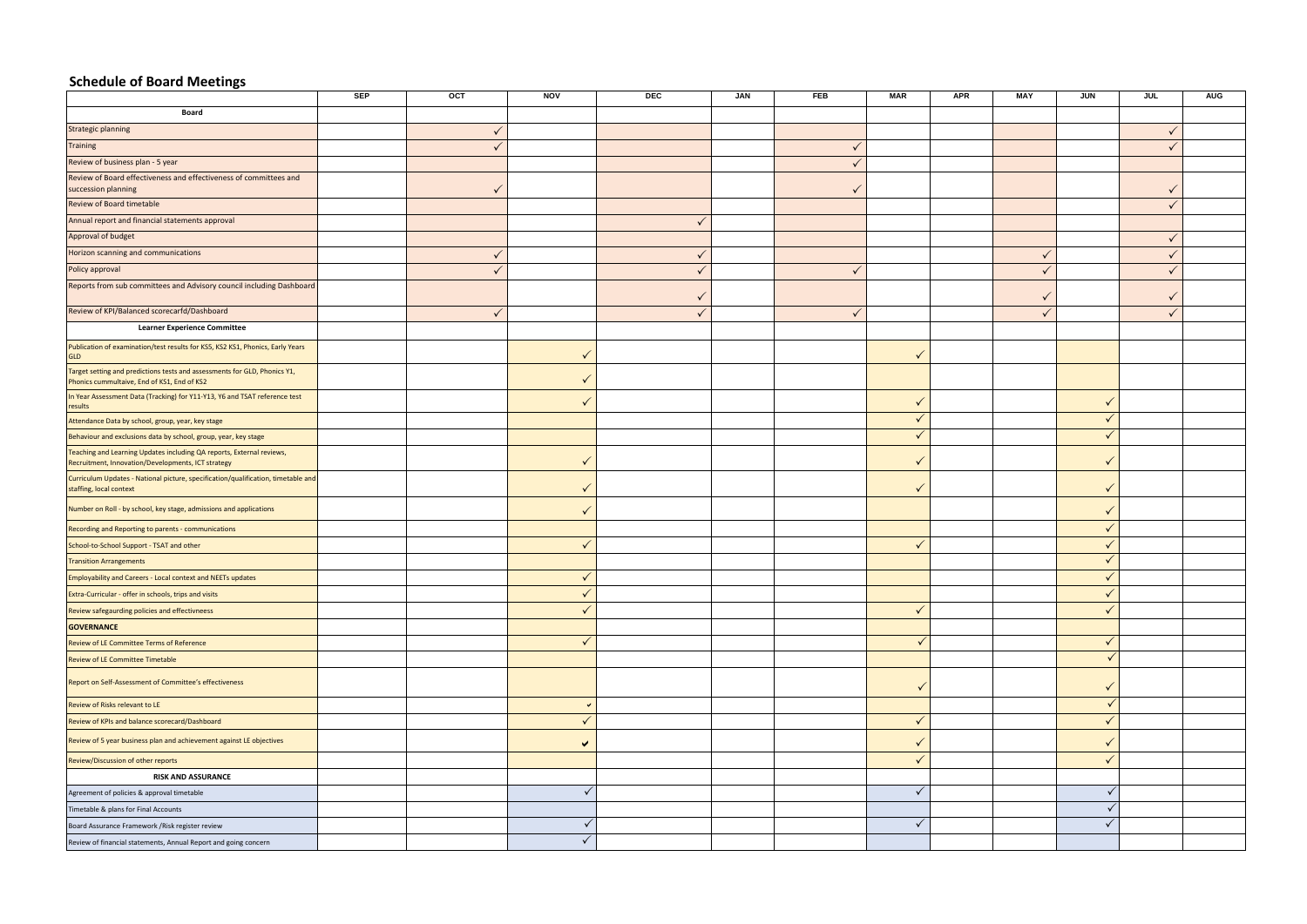## **Schedule of Board Meetings**

|                                                                                                                             | <b>SEP</b> | OCT | <b>NOV</b>           | <b>DEC</b>   | <b>JAN</b> | <b>FEB</b>   | <b>MAR</b>   | <b>APR</b> | MAY          | <b>JUN</b>   | <b>JUL</b>   | <b>AUG</b> |
|-----------------------------------------------------------------------------------------------------------------------------|------------|-----|----------------------|--------------|------------|--------------|--------------|------------|--------------|--------------|--------------|------------|
| Board                                                                                                                       |            |     |                      |              |            |              |              |            |              |              |              |            |
| Strategic planning                                                                                                          |            |     |                      |              |            |              |              |            |              |              |              |            |
| <b>Training</b>                                                                                                             |            |     |                      |              |            | $\checkmark$ |              |            |              |              |              |            |
| Review of business plan - 5 year                                                                                            |            |     |                      |              |            |              |              |            |              |              |              |            |
| Review of Board effectiveness and effectiveness of committees and<br>succession planning                                    |            |     |                      |              |            |              |              |            |              |              |              |            |
| <b>Review of Board timetable</b>                                                                                            |            |     |                      |              |            |              |              |            |              |              | $\mathbf{v}$ |            |
| Annual report and financial statements approval                                                                             |            |     |                      | ✓            |            |              |              |            |              |              |              |            |
| Approval of budget                                                                                                          |            |     |                      |              |            |              |              |            |              |              | $\checkmark$ |            |
| Horizon scanning and communications                                                                                         |            |     |                      | ✓            |            |              |              |            | $\checkmark$ |              |              |            |
| Policy approval                                                                                                             |            |     |                      | $\checkmark$ |            | $\checkmark$ |              |            | $\checkmark$ |              | $\mathbf{v}$ |            |
| Reports from sub committees and Advisory council including Dashboard                                                        |            |     |                      | √            |            |              |              |            | $\checkmark$ |              |              |            |
| Review of KPI/Balanced scorecarfd/Dashboard                                                                                 |            | √   |                      |              |            | $\checkmark$ |              |            | $\checkmark$ |              |              |            |
| <b>Learner Experience Committee</b>                                                                                         |            |     |                      |              |            |              |              |            |              |              |              |            |
| Publication of examination/test results for KS5, KS2 KS1, Phonics, Early Years<br><b>GLD</b>                                |            |     |                      |              |            |              | $\checkmark$ |            |              |              |              |            |
| Target setting and predictions tests and assessments for GLD, Phonics Y1,<br>Phonics cummultaive, End of KS1, End of KS2    |            |     |                      |              |            |              |              |            |              |              |              |            |
| In Year Assessment Data (Tracking) for Y11-Y13, Y6 and TSAT reference test<br>results                                       |            |     |                      |              |            |              | $\checkmark$ |            |              | $\mathbf v$  |              |            |
| Attendance Data by school, group, year, key stage                                                                           |            |     |                      |              |            |              | $\checkmark$ |            |              | $\checkmark$ |              |            |
| Behaviour and exclusions data by school, group, year, key stage                                                             |            |     |                      |              |            |              | $\checkmark$ |            |              | $\checkmark$ |              |            |
| Teaching and Learning Updates including QA reports, External reviews,<br>Recruitment, Innovation/Developments, ICT strategy |            |     | $\checkmark$         |              |            |              | $\checkmark$ |            |              |              |              |            |
| Curriculum Updates - National picture, specification/qualification, timetable and<br>staffing, local context                |            |     |                      |              |            |              | $\checkmark$ |            |              |              |              |            |
| Number on Roll - by school, key stage, admissions and applications                                                          |            |     |                      |              |            |              |              |            |              | $\mathbf v$  |              |            |
| Recording and Reporting to parents - communications                                                                         |            |     |                      |              |            |              |              |            |              | $\checkmark$ |              |            |
| School-to-School Support - TSAT and other                                                                                   |            |     |                      |              |            |              | $\checkmark$ |            |              | $\mathbf v$  |              |            |
| <b>Transition Arrangements</b>                                                                                              |            |     |                      |              |            |              |              |            |              | $\checkmark$ |              |            |
| Employability and Careers - Local context and NEETs updates                                                                 |            |     |                      |              |            |              |              |            |              |              |              |            |
| Extra-Curricular - offer in schools, trips and visits                                                                       |            |     | $\checkmark$         |              |            |              |              |            |              | $\checkmark$ |              |            |
| Review safegaurding policies and effectivneess                                                                              |            |     | $\checkmark$         |              |            |              | $\checkmark$ |            |              | $\mathbf{v}$ |              |            |
| <b>GOVERNANCE</b>                                                                                                           |            |     |                      |              |            |              |              |            |              |              |              |            |
| <b>Review of LE Committee Terms of Reference</b>                                                                            |            |     | $\checkmark$         |              |            |              | $\checkmark$ |            |              | $\checkmark$ |              |            |
| Review of LE Committee Timetable                                                                                            |            |     |                      |              |            |              |              |            |              |              |              |            |
| Report on Self-Assessment of Committee's effectiveness                                                                      |            |     |                      |              |            |              |              |            |              | $\checkmark$ |              |            |
| Review of Risks relevant to LE                                                                                              |            |     | $\checkmark$         |              |            |              |              |            |              | $\checkmark$ |              |            |
| Review of KPIs and balance scorecard/Dashboard                                                                              |            |     | $\checkmark$         |              |            |              | $\checkmark$ |            |              | $\checkmark$ |              |            |
| Review of 5 year business plan and achievement against LE objectives                                                        |            |     | $\blacktriangledown$ |              |            |              | $\checkmark$ |            |              | $\checkmark$ |              |            |
| Review/Discussion of other reports                                                                                          |            |     |                      |              |            |              | $\sqrt{}$    |            |              | $\checkmark$ |              |            |
| <b>RISK AND ASSURANCE</b>                                                                                                   |            |     |                      |              |            |              |              |            |              |              |              |            |
| Agreement of policies & approval timetable                                                                                  |            |     | $\checkmark$         |              |            |              | $\checkmark$ |            |              |              |              |            |
| Timetable & plans for Final Accounts                                                                                        |            |     |                      |              |            |              |              |            |              |              |              |            |
| Board Assurance Framework / Risk register review                                                                            |            |     | $\checkmark$         |              |            |              | $\checkmark$ |            |              | $\checkmark$ |              |            |
| Review of financial statements, Annual Report and going concern                                                             |            |     | $\checkmark$         |              |            |              |              |            |              |              |              |            |